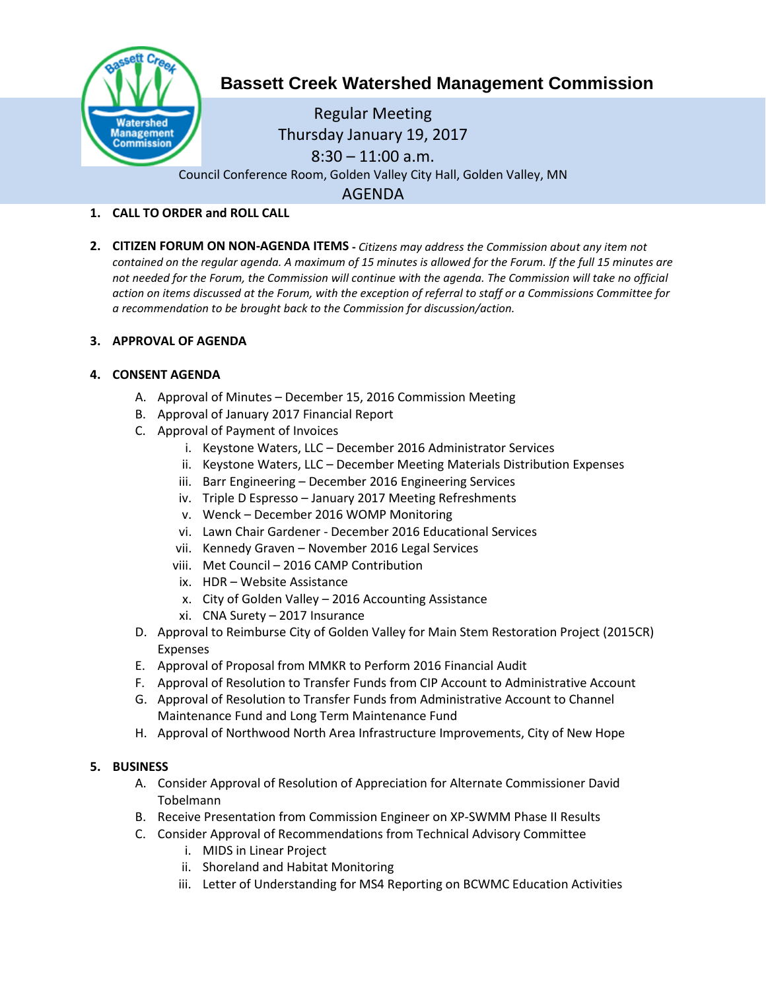

# **Bassett Creek Watershed Management Commission**

Regular Meeting Thursday January 19, 2017  $8:30 - 11:00$  a.m. Council Conference Room, Golden Valley City Hall, Golden Valley, MN AGENDA

# **1. CALL TO ORDER and ROLL CALL**

**2. CITIZEN FORUM ON NON-AGENDA ITEMS -** *Citizens may address the Commission about any item not contained on the regular agenda. A maximum of 15 minutes is allowed for the Forum. If the full 15 minutes are*  not needed for the Forum, the Commission will continue with the agenda. The Commission will take no official *action on items discussed at the Forum, with the exception of referral to staff or a Commissions Committee for a recommendation to be brought back to the Commission for discussion/action.*

# **3. APPROVAL OF AGENDA**

# **4. CONSENT AGENDA**

- A. Approval of Minutes December 15, 2016 Commission Meeting
- B. Approval of January 2017 Financial Report
- C. Approval of Payment of Invoices
	- i. Keystone Waters, LLC December 2016 Administrator Services
	- ii. Keystone Waters, LLC December Meeting Materials Distribution Expenses
	- iii. Barr Engineering December 2016 Engineering Services
	- iv. Triple D Espresso January 2017 Meeting Refreshments
	- v. Wenck December 2016 WOMP Monitoring
	- vi. Lawn Chair Gardener December 2016 Educational Services
	- vii. Kennedy Graven November 2016 Legal Services
	- viii. Met Council 2016 CAMP Contribution
	- ix. HDR Website Assistance
	- x. City of Golden Valley 2016 Accounting Assistance
	- xi. CNA Surety 2017 Insurance
- D. Approval to Reimburse City of Golden Valley for Main Stem Restoration Project (2015CR) Expenses
- E. Approval of Proposal from MMKR to Perform 2016 Financial Audit
- F. Approval of Resolution to Transfer Funds from CIP Account to Administrative Account
- G. Approval of Resolution to Transfer Funds from Administrative Account to Channel Maintenance Fund and Long Term Maintenance Fund
- H. Approval of Northwood North Area Infrastructure Improvements, City of New Hope

#### **5. BUSINESS**

- A. Consider Approval of Resolution of Appreciation for Alternate Commissioner David Tobelmann
- B. Receive Presentation from Commission Engineer on XP-SWMM Phase II Results
- C. Consider Approval of Recommendations from Technical Advisory Committee
	- i. MIDS in Linear Project
	- ii. Shoreland and Habitat Monitoring
	- iii. Letter of Understanding for MS4 Reporting on BCWMC Education Activities